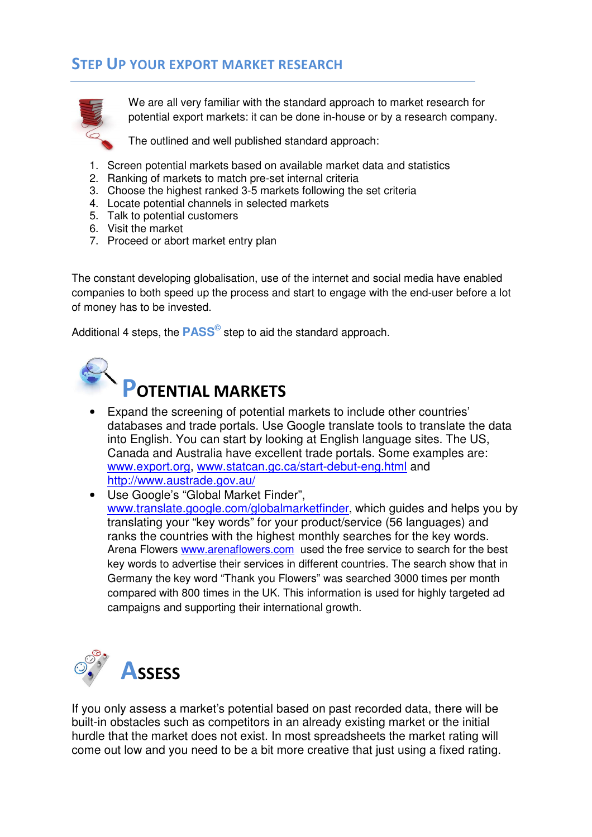## STEP UP YOUR EXPORT MARKET RESEARCH



We are all very familiar with the standard approach to market research for potential export markets: it can be done in-house or by a research company.

The outlined and well published standard approach:

- 1. Screen potential markets based on available market data and statistics
- 2. Ranking of markets to match pre-set internal criteria
- 3. Choose the highest ranked 3-5 markets following the set criteria
- 4. Locate potential channels in selected markets
- 5. Talk to potential customers
- 6. Visit the market
- 7. Proceed or abort market entry plan

The constant developing globalisation, use of the internet and social media have enabled companies to both speed up the process and start to engage with the end-user before a lot of money has to be invested.

Additional 4 steps, the **PASS©** step to aid the standard approach.



## POTENTIAL MARKETS

- Expand the screening of potential markets to include other countries' databases and trade portals. Use Google translate tools to translate the data into English. You can start by looking at English language sites. The US, Canada and Australia have excellent trade portals. Some examples are: www.export.org, www.statcan.gc.ca/start-debut-eng.html and http://www.austrade.gov.au/
- Use Google's "Global Market Finder", www.translate.google.com/globalmarketfinder, which guides and helps you by translating your "key words" for your product/service (56 languages) and ranks the countries with the highest monthly searches for the key words. Arena Flowers www.arenaflowers.com used the free service to search for the best key words to advertise their services in different countries. The search show that in Germany the key word "Thank you Flowers" was searched 3000 times per month compared with 800 times in the UK. This information is used for highly targeted ad campaigns and supporting their international growth.



If you only assess a market's potential based on past recorded data, there will be built-in obstacles such as competitors in an already existing market or the initial hurdle that the market does not exist. In most spreadsheets the market rating will come out low and you need to be a bit more creative that just using a fixed rating.